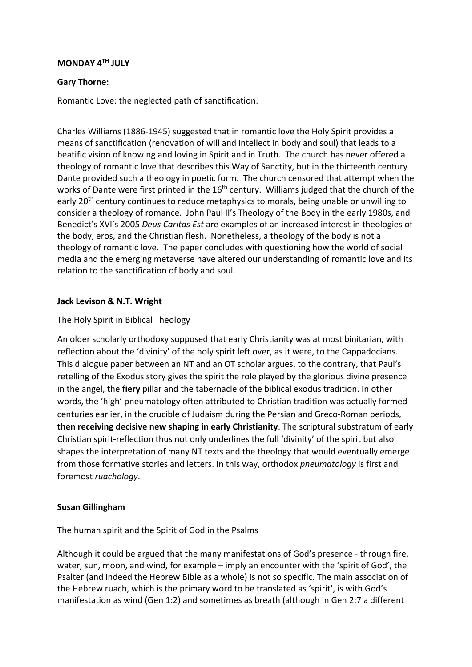## **MONDAY 4TH JULY**

### **Gary Thorne:**

Romantic Love: the neglected path of sanctification.

Charles Williams (1886-1945) suggested that in romantic love the Holy Spirit provides a means of sanctification (renovation of will and intellect in body and soul) that leads to a beatific vision of knowing and loving in Spirit and in Truth. The church has never offered a theology of romantic love that describes this Way of Sanctity, but in the thirteenth century Dante provided such a theology in poetic form. The church censored that attempt when the works of Dante were first printed in the 16<sup>th</sup> century. Williams judged that the church of the early 20<sup>th</sup> century continues to reduce metaphysics to morals, being unable or unwilling to consider a theology of romance. John Paul II's Theology of the Body in the early 1980s, and Benedict's XVI's 2005 *Deus Caritas Est* are examples of an increased interest in theologies of the body, eros, and the Christian flesh. Nonetheless, a theology of the body is not a theology of romantic love. The paper concludes with questioning how the world of social media and the emerging metaverse have altered our understanding of romantic love and its relation to the sanctification of body and soul.

### **Jack Levison & N.T. Wright**

### The Holy Spirit in Biblical Theology

An older scholarly orthodoxy supposed that early Christianity was at most binitarian, with reflection about the 'divinity' of the holy spirit left over, as it were, to the Cappadocians. This dialogue paper between an NT and an OT scholar argues, to the contrary, that Paul's retelling of the Exodus story gives the spirit the role played by the glorious divine presence in the angel, the **fiery** pillar and the tabernacle of the biblical exodus tradition. In other words, the 'high' pneumatology often attributed to Christian tradition was actually formed centuries earlier, in the crucible of Judaism during the Persian and Greco-Roman periods, **then receiving decisive new shaping in early Christianity**. The scriptural substratum of early Christian spirit-reflection thus not only underlines the full 'divinity' of the spirit but also shapes the interpretation of many NT texts and the theology that would eventually emerge from those formative stories and letters. In this way, orthodox *pneumatology* is first and foremost *ruachology*.

#### **Susan Gillingham**

The human spirit and the Spirit of God in the Psalms

Although it could be argued that the many manifestations of God's presence - through fire, water, sun, moon, and wind, for example – imply an encounter with the 'spirit of God', the Psalter (and indeed the Hebrew Bible as a whole) is not so specific. The main association of the Hebrew ruach, which is the primary word to be translated as 'spirit', is with God's manifestation as wind (Gen 1:2) and sometimes as breath (although in Gen 2:7 a different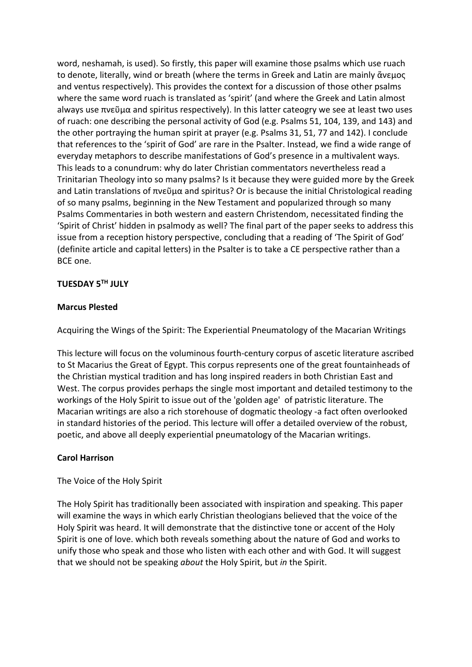word, neshamah, is used). So firstly, this paper will examine those psalms which use ruach to denote, literally, wind or breath (where the terms in Greek and Latin are mainly ἄνεμος and ventus respectively). This provides the context for a discussion of those other psalms where the same word ruach is translated as 'spirit' (and where the Greek and Latin almost always use πνεῦμα and spiritus respectively). In this latter cateogry we see at least two uses of ruach: one describing the personal activity of God (e.g. Psalms 51, 104, 139, and 143) and the other portraying the human spirit at prayer (e.g. Psalms 31, 51, 77 and 142). I conclude that references to the 'spirit of God' are rare in the Psalter. Instead, we find a wide range of everyday metaphors to describe manifestations of God's presence in a multivalent ways. This leads to a conundrum: why do later Christian commentators nevertheless read a Trinitarian Theology into so many psalms? Is it because they were guided more by the Greek and Latin translations of πνεῦμα and spiritus? Or is because the initial Christological reading of so many psalms, beginning in the New Testament and popularized through so many Psalms Commentaries in both western and eastern Christendom, necessitated finding the 'Spirit of Christ' hidden in psalmody as well? The final part of the paper seeks to address this issue from a reception history perspective, concluding that a reading of 'The Spirit of God' (definite article and capital letters) in the Psalter is to take a CE perspective rather than a BCE one.

## **TUESDAY 5TH JULY**

### **Marcus Plested**

Acquiring the Wings of the Spirit: The Experiential Pneumatology of the Macarian Writings

This lecture will focus on the voluminous fourth-century corpus of ascetic literature ascribed to St Macarius the Great of Egypt. This corpus represents one of the great fountainheads of the Christian mystical tradition and has long inspired readers in both Christian East and West. The corpus provides perhaps the single most important and detailed testimony to the workings of the Holy Spirit to issue out of the 'golden age' of patristic literature. The Macarian writings are also a rich storehouse of dogmatic theology -a fact often overlooked in standard histories of the period. This lecture will offer a detailed overview of the robust, poetic, and above all deeply experiential pneumatology of the Macarian writings.

# **Carol Harrison**

The Voice of the Holy Spirit

The Holy Spirit has traditionally been associated with inspiration and speaking. This paper will examine the ways in which early Christian theologians believed that the voice of the Holy Spirit was heard. It will demonstrate that the distinctive tone or accent of the Holy Spirit is one of love. which both reveals something about the nature of God and works to unify those who speak and those who listen with each other and with God. It will suggest that we should not be speaking *about* the Holy Spirit, but *in* the Spirit.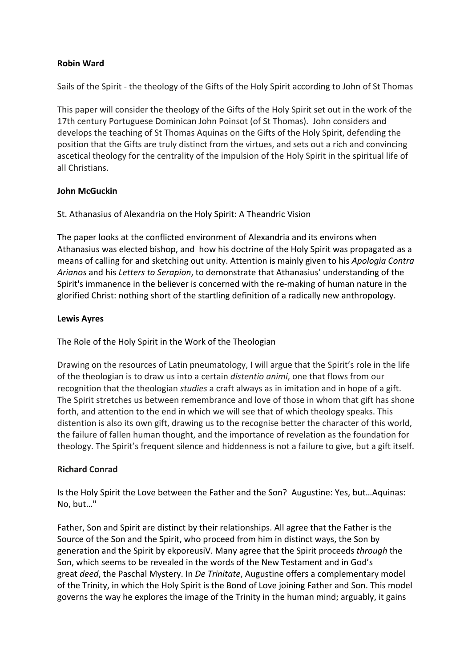## **Robin Ward**

Sails of the Spirit - the theology of the Gifts of the Holy Spirit according to John of St Thomas

This paper will consider the theology of the Gifts of the Holy Spirit set out in the work of the 17th century Portuguese Dominican John Poinsot (of St Thomas). John considers and develops the teaching of St Thomas Aquinas on the Gifts of the Holy Spirit, defending the position that the Gifts are truly distinct from the virtues, and sets out a rich and convincing ascetical theology for the centrality of the impulsion of the Holy Spirit in the spiritual life of all Christians.

### **John McGuckin**

St. Athanasius of Alexandria on the Holy Spirit: A Theandric Vision

The paper looks at the conflicted environment of Alexandria and its environs when Athanasius was elected bishop, and how his doctrine of the Holy Spirit was propagated as a means of calling for and sketching out unity. Attention is mainly given to his *Apologia Contra Arianos* and his *Letters to Serapion*, to demonstrate that Athanasius' understanding of the Spirit's immanence in the believer is concerned with the re-making of human nature in the glorified Christ: nothing short of the startling definition of a radically new anthropology.

## **Lewis Ayres**

The Role of the Holy Spirit in the Work of the Theologian

Drawing on the resources of Latin pneumatology, I will argue that the Spirit's role in the life of the theologian is to draw us into a certain *distentio animi*, one that flows from our recognition that the theologian *studies* a craft always as in imitation and in hope of a gift. The Spirit stretches us between remembrance and love of those in whom that gift has shone forth, and attention to the end in which we will see that of which theology speaks. This distention is also its own gift, drawing us to the recognise better the character of this world, the failure of fallen human thought, and the importance of revelation as the foundation for theology. The Spirit's frequent silence and hiddenness is not a failure to give, but a gift itself.

# **Richard Conrad**

Is the Holy Spirit the Love between the Father and the Son? Augustine: Yes, but…Aquinas: No, but…"

Father, Son and Spirit are distinct by their relationships. All agree that the Father is the Source of the Son and the Spirit, who proceed from him in distinct ways, the Son by generation and the Spirit by ekporeusiV. Many agree that the Spirit proceeds *through* the Son, which seems to be revealed in the words of the New Testament and in God's great *deed*, the Paschal Mystery. In *De Trinitate*, Augustine offers a complementary model of the Trinity, in which the Holy Spirit is the Bond of Love joining Father and Son. This model governs the way he explores the image of the Trinity in the human mind; arguably, it gains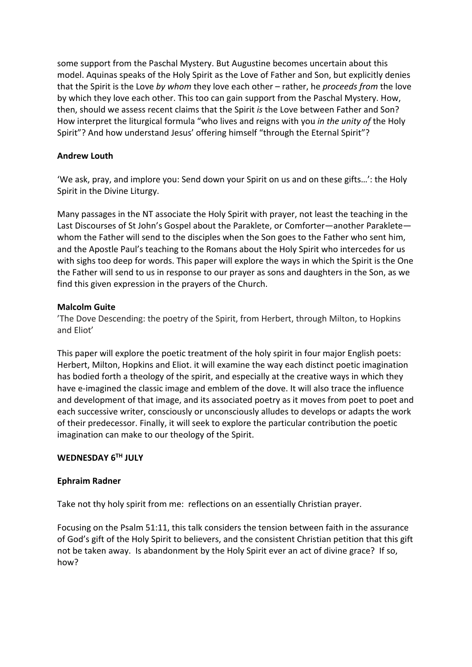some support from the Paschal Mystery. But Augustine becomes uncertain about this model. Aquinas speaks of the Holy Spirit as the Love of Father and Son, but explicitly denies that the Spirit is the Love *by whom* they love each other – rather, he *proceeds from* the love by which they love each other. This too can gain support from the Paschal Mystery. How, then, should we assess recent claims that the Spirit *is* the Love between Father and Son? How interpret the liturgical formula "who lives and reigns with you *in the unity of* the Holy Spirit"? And how understand Jesus' offering himself "through the Eternal Spirit"?

## **Andrew Louth**

'We ask, pray, and implore you: Send down your Spirit on us and on these gifts…': the Holy Spirit in the Divine Liturgy.

Many passages in the NT associate the Holy Spirit with prayer, not least the teaching in the Last Discourses of St John's Gospel about the Paraklete, or Comforter—another Paraklete whom the Father will send to the disciples when the Son goes to the Father who sent him, and the Apostle Paul's teaching to the Romans about the Holy Spirit who intercedes for us with sighs too deep for words. This paper will explore the ways in which the Spirit is the One the Father will send to us in response to our prayer as sons and daughters in the Son, as we find this given expression in the prayers of the Church.

## **Malcolm Guite**

'The Dove Descending: the poetry of the Spirit, from Herbert, through Milton, to Hopkins and Eliot'

This paper will explore the poetic treatment of the holy spirit in four major English poets: Herbert, Milton, Hopkins and Eliot. it will examine the way each distinct poetic imagination has bodied forth a theology of the spirit, and especially at the creative ways in which they have e-imagined the classic image and emblem of the dove. It will also trace the influence and development of that image, and its associated poetry as it moves from poet to poet and each successive writer, consciously or unconsciously alludes to develops or adapts the work of their predecessor. Finally, it will seek to explore the particular contribution the poetic imagination can make to our theology of the Spirit.

### **WEDNESDAY 6TH JULY**

### **Ephraim Radner**

Take not thy holy spirit from me: reflections on an essentially Christian prayer.

Focusing on the Psalm 51:11, this talk considers the tension between faith in the assurance of God's gift of the Holy Spirit to believers, and the consistent Christian petition that this gift not be taken away. Is abandonment by the Holy Spirit ever an act of divine grace? If so, how?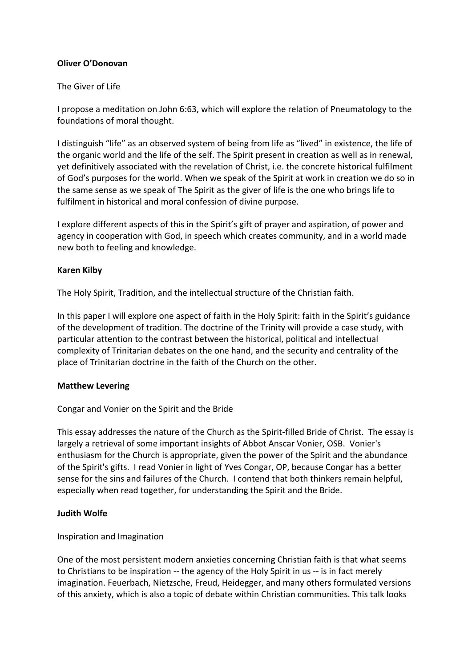## **Oliver O'Donovan**

### The Giver of Life

I propose a meditation on John 6:63, which will explore the relation of Pneumatology to the foundations of moral thought.

I distinguish "life" as an observed system of being from life as "lived" in existence, the life of the organic world and the life of the self. The Spirit present in creation as well as in renewal, yet definitively associated with the revelation of Christ, i.e. the concrete historical fulfilment of God's purposes for the world. When we speak of the Spirit at work in creation we do so in the same sense as we speak of The Spirit as the giver of life is the one who brings life to fulfilment in historical and moral confession of divine purpose.

I explore different aspects of this in the Spirit's gift of prayer and aspiration, of power and agency in cooperation with God, in speech which creates community, and in a world made new both to feeling and knowledge.

### **Karen Kilby**

The Holy Spirit, Tradition, and the intellectual structure of the Christian faith.

In this paper I will explore one aspect of faith in the Holy Spirit: faith in the Spirit's guidance of the development of tradition. The doctrine of the Trinity will provide a case study, with particular attention to the contrast between the historical, political and intellectual complexity of Trinitarian debates on the one hand, and the security and centrality of the place of Trinitarian doctrine in the faith of the Church on the other.

### **Matthew Levering**

Congar and Vonier on the Spirit and the Bride

This essay addresses the nature of the Church as the Spirit-filled Bride of Christ. The essay is largely a retrieval of some important insights of Abbot Anscar Vonier, OSB. Vonier's enthusiasm for the Church is appropriate, given the power of the Spirit and the abundance of the Spirit's gifts. I read Vonier in light of Yves Congar, OP, because Congar has a better sense for the sins and failures of the Church. I contend that both thinkers remain helpful, especially when read together, for understanding the Spirit and the Bride.

### **Judith Wolfe**

Inspiration and Imagination

One of the most persistent modern anxieties concerning Christian faith is that what seems to Christians to be inspiration -- the agency of the Holy Spirit in us -- is in fact merely imagination. Feuerbach, Nietzsche, Freud, Heidegger, and many others formulated versions of this anxiety, which is also a topic of debate within Christian communities. This talk looks